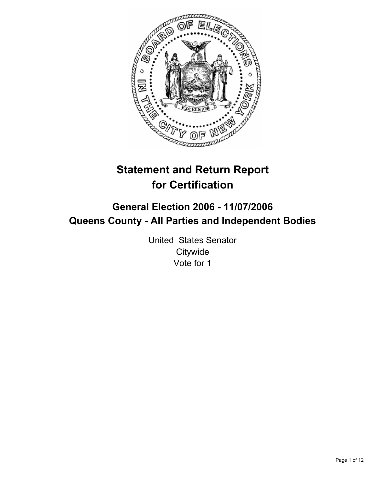

# **Statement and Return Report for Certification**

## **General Election 2006 - 11/07/2006 Queens County - All Parties and Independent Bodies**

United States Senator **Citywide** Vote for 1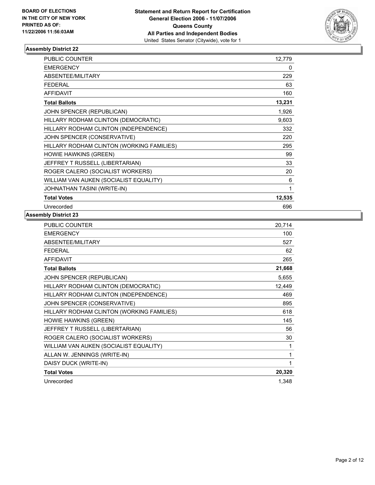

| <b>PUBLIC COUNTER</b>                     | 12,779 |
|-------------------------------------------|--------|
| <b>EMERGENCY</b>                          | 0      |
| ABSENTEE/MILITARY                         | 229    |
| <b>FEDERAL</b>                            | 63     |
| <b>AFFIDAVIT</b>                          | 160    |
| <b>Total Ballots</b>                      | 13,231 |
| JOHN SPENCER (REPUBLICAN)                 | 1,926  |
| HILLARY RODHAM CLINTON (DEMOCRATIC)       | 9,603  |
| HILLARY RODHAM CLINTON (INDEPENDENCE)     | 332    |
| JOHN SPENCER (CONSERVATIVE)               | 220    |
| HILLARY RODHAM CLINTON (WORKING FAMILIES) | 295    |
| HOWIE HAWKINS (GREEN)                     | 99     |
| JEFFREY T RUSSELL (LIBERTARIAN)           | 33     |
| ROGER CALERO (SOCIALIST WORKERS)          | 20     |
| WILLIAM VAN AUKEN (SOCIALIST EQUALITY)    | 6      |
| JOHNATHAN TASINI (WRITE-IN)               |        |
| <b>Total Votes</b>                        | 12,535 |
| Unrecorded                                | 696    |

| <b>PUBLIC COUNTER</b>                     | 20,714 |
|-------------------------------------------|--------|
| <b>EMERGENCY</b>                          | 100    |
| ABSENTEE/MILITARY                         | 527    |
| <b>FEDERAL</b>                            | 62     |
| <b>AFFIDAVIT</b>                          | 265    |
| <b>Total Ballots</b>                      | 21,668 |
| JOHN SPENCER (REPUBLICAN)                 | 5,655  |
| HILLARY RODHAM CLINTON (DEMOCRATIC)       | 12,449 |
| HILLARY RODHAM CLINTON (INDEPENDENCE)     | 469    |
| JOHN SPENCER (CONSERVATIVE)               | 895    |
| HILLARY RODHAM CLINTON (WORKING FAMILIES) | 618    |
| <b>HOWIE HAWKINS (GREEN)</b>              | 145    |
| JEFFREY T RUSSELL (LIBERTARIAN)           | 56     |
| ROGER CALERO (SOCIALIST WORKERS)          | 30     |
| WILLIAM VAN AUKEN (SOCIALIST EQUALITY)    | 1      |
| ALLAN W. JENNINGS (WRITE-IN)              |        |
| DAISY DUCK (WRITE-IN)                     |        |
| <b>Total Votes</b>                        | 20,320 |
| Unrecorded                                | 1,348  |
|                                           |        |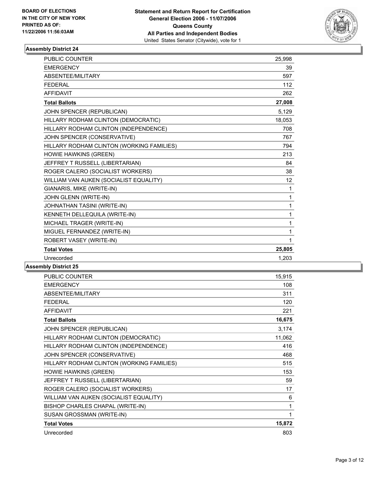

| PUBLIC COUNTER                            | 25,998 |  |
|-------------------------------------------|--------|--|
| <b>EMERGENCY</b>                          | 39     |  |
| ABSENTEE/MILITARY                         | 597    |  |
| <b>FEDERAL</b>                            | 112    |  |
| <b>AFFIDAVIT</b>                          | 262    |  |
| <b>Total Ballots</b>                      | 27,008 |  |
| JOHN SPENCER (REPUBLICAN)                 | 5,129  |  |
| HILLARY RODHAM CLINTON (DEMOCRATIC)       | 18,053 |  |
| HILLARY RODHAM CLINTON (INDEPENDENCE)     | 708    |  |
| JOHN SPENCER (CONSERVATIVE)               | 767    |  |
| HILLARY RODHAM CLINTON (WORKING FAMILIES) | 794    |  |
| HOWIE HAWKINS (GREEN)                     | 213    |  |
| JEFFREY T RUSSELL (LIBERTARIAN)           | 84     |  |
| ROGER CALERO (SOCIALIST WORKERS)          | 38     |  |
| WILLIAM VAN AUKEN (SOCIALIST EQUALITY)    | 12     |  |
| GIANARIS, MIKE (WRITE-IN)                 | 1      |  |
| JOHN GLENN (WRITE-IN)                     | 1      |  |
| JOHNATHAN TASINI (WRITE-IN)               | 1      |  |
| KENNETH DELLEQUILA (WRITE-IN)             | 1      |  |
| MICHAEL TRAGER (WRITE-IN)                 | 1      |  |
| MIGUEL FERNANDEZ (WRITE-IN)               | 1      |  |
| ROBERT VASEY (WRITE-IN)                   | 1      |  |
| <b>Total Votes</b>                        | 25,805 |  |
| Unrecorded                                | 1.203  |  |
|                                           |        |  |

| <b>PUBLIC COUNTER</b>                     | 15,915 |
|-------------------------------------------|--------|
| <b>EMERGENCY</b>                          | 108    |
| ABSENTEE/MILITARY                         | 311    |
| <b>FEDERAL</b>                            | 120    |
| <b>AFFIDAVIT</b>                          | 221    |
| <b>Total Ballots</b>                      | 16,675 |
| JOHN SPENCER (REPUBLICAN)                 | 3,174  |
| HILLARY RODHAM CLINTON (DEMOCRATIC)       | 11,062 |
| HILLARY RODHAM CLINTON (INDEPENDENCE)     | 416    |
| JOHN SPENCER (CONSERVATIVE)               | 468    |
| HILLARY RODHAM CLINTON (WORKING FAMILIES) | 515    |
| <b>HOWIE HAWKINS (GREEN)</b>              | 153    |
| JEFFREY T RUSSELL (LIBERTARIAN)           | 59     |
| ROGER CALERO (SOCIALIST WORKERS)          | 17     |
| WILLIAM VAN AUKEN (SOCIALIST EQUALITY)    | 6      |
| BISHOP CHARLES CHAPAL (WRITE-IN)          | 1      |
| SUSAN GROSSMAN (WRITE-IN)                 | 1      |
| <b>Total Votes</b>                        | 15,872 |
| Unrecorded                                | 803    |
|                                           |        |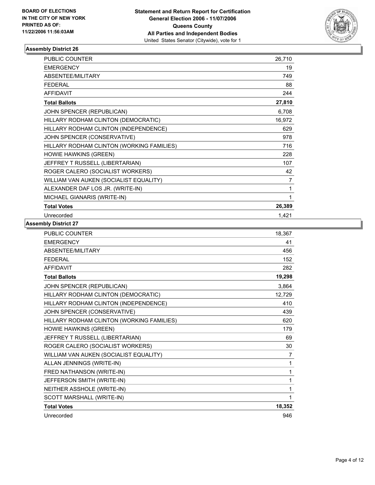

| <b>PUBLIC COUNTER</b>                     | 26,710 |
|-------------------------------------------|--------|
| <b>EMERGENCY</b>                          | 19     |
| ABSENTEE/MILITARY                         | 749    |
| <b>FEDERAL</b>                            | 88     |
| <b>AFFIDAVIT</b>                          | 244    |
| <b>Total Ballots</b>                      | 27,810 |
| JOHN SPENCER (REPUBLICAN)                 | 6,708  |
| HILLARY RODHAM CLINTON (DEMOCRATIC)       | 16,972 |
| HILLARY RODHAM CLINTON (INDEPENDENCE)     | 629    |
| JOHN SPENCER (CONSERVATIVE)               | 978    |
| HILLARY RODHAM CLINTON (WORKING FAMILIES) | 716    |
| HOWIE HAWKINS (GREEN)                     | 228    |
| JEFFREY T RUSSELL (LIBERTARIAN)           | 107    |
| ROGER CALERO (SOCIALIST WORKERS)          | 42     |
| WILLIAM VAN AUKEN (SOCIALIST EQUALITY)    | 7      |
| ALEXANDER DAF LOS JR. (WRITE-IN)          |        |
| MICHAEL GIANARIS (WRITE-IN)               |        |
| <b>Total Votes</b>                        | 26,389 |
| Unrecorded                                | 1,421  |

| <b>PUBLIC COUNTER</b>                     | 18,367         |
|-------------------------------------------|----------------|
| <b>EMERGENCY</b>                          | 41             |
| ABSENTEE/MILITARY                         | 456            |
| <b>FEDERAL</b>                            | 152            |
| <b>AFFIDAVIT</b>                          | 282            |
| <b>Total Ballots</b>                      | 19,298         |
| JOHN SPENCER (REPUBLICAN)                 | 3,864          |
| HILLARY RODHAM CLINTON (DEMOCRATIC)       | 12,729         |
| HILLARY RODHAM CLINTON (INDEPENDENCE)     | 410            |
| JOHN SPENCER (CONSERVATIVE)               | 439            |
| HILLARY RODHAM CLINTON (WORKING FAMILIES) | 620            |
| HOWIE HAWKINS (GREEN)                     | 179            |
| JEFFREY T RUSSELL (LIBERTARIAN)           | 69             |
| ROGER CALERO (SOCIALIST WORKERS)          | 30             |
| WILLIAM VAN AUKEN (SOCIALIST EQUALITY)    | $\overline{7}$ |
| ALLAN JENNINGS (WRITE-IN)                 | 1              |
| FRED NATHANSON (WRITE-IN)                 | 1              |
| JEFFERSON SMITH (WRITE-IN)                |                |
| NEITHER ASSHOLE (WRITE-IN)                | 1              |
| SCOTT MARSHALL (WRITE-IN)                 | 1              |
| <b>Total Votes</b>                        | 18,352         |
| Unrecorded                                | 946            |
|                                           |                |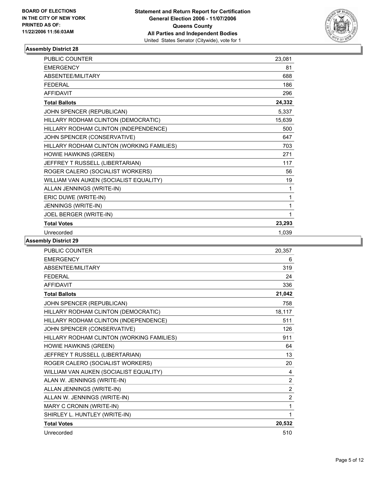

| <b>PUBLIC COUNTER</b>                     | 23,081 |
|-------------------------------------------|--------|
| <b>EMERGENCY</b>                          | 81     |
| <b>ABSENTEE/MILITARY</b>                  | 688    |
| <b>FEDERAL</b>                            | 186    |
| <b>AFFIDAVIT</b>                          | 296    |
| <b>Total Ballots</b>                      | 24,332 |
| JOHN SPENCER (REPUBLICAN)                 | 5,337  |
| HILLARY RODHAM CLINTON (DEMOCRATIC)       | 15,639 |
| HILLARY RODHAM CLINTON (INDEPENDENCE)     | 500    |
| JOHN SPENCER (CONSERVATIVE)               | 647    |
| HILLARY RODHAM CLINTON (WORKING FAMILIES) | 703    |
| HOWIE HAWKINS (GREEN)                     | 271    |
| JEFFREY T RUSSELL (LIBERTARIAN)           | 117    |
| ROGER CALERO (SOCIALIST WORKERS)          | 56     |
| WILLIAM VAN AUKEN (SOCIALIST EQUALITY)    | 19     |
| ALLAN JENNINGS (WRITE-IN)                 | 1      |
| ERIC DUWE (WRITE-IN)                      |        |
| JENNINGS (WRITE-IN)                       |        |
| JOEL BERGER (WRITE-IN)                    |        |
| <b>Total Votes</b>                        | 23,293 |
| Unrecorded                                | 1,039  |

| <b>PUBLIC COUNTER</b><br>20,357               |                |
|-----------------------------------------------|----------------|
| <b>EMERGENCY</b>                              | 6              |
| <b>ABSENTEE/MILITARY</b>                      | 319            |
| <b>FEDERAL</b>                                | 24             |
| <b>AFFIDAVIT</b>                              | 336            |
| 21,042<br><b>Total Ballots</b>                |                |
| JOHN SPENCER (REPUBLICAN)                     | 758            |
| HILLARY RODHAM CLINTON (DEMOCRATIC)<br>18,117 |                |
| HILLARY RODHAM CLINTON (INDEPENDENCE)         | 511            |
| JOHN SPENCER (CONSERVATIVE)                   | 126            |
| HILLARY RODHAM CLINTON (WORKING FAMILIES)     | 911            |
| HOWIE HAWKINS (GREEN)                         | 64             |
| JEFFREY T RUSSELL (LIBERTARIAN)               | 13             |
| ROGER CALERO (SOCIALIST WORKERS)              | 20             |
| WILLIAM VAN AUKEN (SOCIALIST EQUALITY)        | 4              |
| ALAN W. JENNINGS (WRITE-IN)                   | $\overline{2}$ |
| ALLAN JENNINGS (WRITE-IN)                     | $\overline{c}$ |
| ALLAN W. JENNINGS (WRITE-IN)                  | $\overline{2}$ |
| MARY C CRONIN (WRITE-IN)                      | 1              |
| SHIRLEY L. HUNTLEY (WRITE-IN)                 | 1              |
| <b>Total Votes</b><br>20,532                  |                |
| Unrecorded                                    | 510            |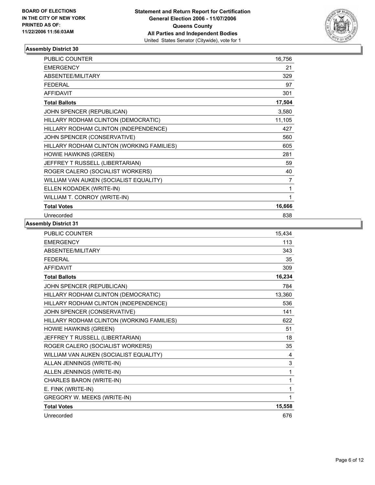

| <b>PUBLIC COUNTER</b>                     | 16,756 |
|-------------------------------------------|--------|
| <b>EMERGENCY</b>                          | 21     |
| ABSENTEE/MILITARY                         | 329    |
| <b>FEDERAL</b>                            | 97     |
| <b>AFFIDAVIT</b>                          | 301    |
| <b>Total Ballots</b>                      | 17,504 |
| JOHN SPENCER (REPUBLICAN)                 | 3,580  |
| HILLARY RODHAM CLINTON (DEMOCRATIC)       | 11,105 |
| HILLARY RODHAM CLINTON (INDEPENDENCE)     | 427    |
| JOHN SPENCER (CONSERVATIVE)               | 560    |
| HILLARY RODHAM CLINTON (WORKING FAMILIES) | 605    |
| HOWIE HAWKINS (GREEN)                     | 281    |
| JEFFREY T RUSSELL (LIBERTARIAN)           | 59     |
| ROGER CALERO (SOCIALIST WORKERS)          | 40     |
| WILLIAM VAN AUKEN (SOCIALIST EQUALITY)    | 7      |
| ELLEN KODADEK (WRITE-IN)                  | 1      |
| WILLIAM T. CONROY (WRITE-IN)              |        |
| <b>Total Votes</b>                        | 16,666 |
| Unrecorded                                | 838    |

| <b>PUBLIC COUNTER</b>                     | 15,434 |
|-------------------------------------------|--------|
| <b>EMERGENCY</b>                          | 113    |
| ABSENTEE/MILITARY                         | 343    |
| <b>FEDERAL</b>                            | 35     |
| <b>AFFIDAVIT</b>                          | 309    |
| <b>Total Ballots</b>                      | 16,234 |
| JOHN SPENCER (REPUBLICAN)                 | 784    |
| HILLARY RODHAM CLINTON (DEMOCRATIC)       | 13,360 |
| HILLARY RODHAM CLINTON (INDEPENDENCE)     | 536    |
| JOHN SPENCER (CONSERVATIVE)               | 141    |
| HILLARY RODHAM CLINTON (WORKING FAMILIES) | 622    |
| HOWIE HAWKINS (GREEN)                     | 51     |
| JEFFREY T RUSSELL (LIBERTARIAN)           | 18     |
| ROGER CALERO (SOCIALIST WORKERS)          | 35     |
| WILLIAM VAN AUKEN (SOCIALIST EQUALITY)    | 4      |
| ALLAN JENNINGS (WRITE-IN)                 | 3      |
| ALLEN JENNINGS (WRITE-IN)                 | 1      |
| CHARLES BARON (WRITE-IN)                  | 1      |
| E. FINK (WRITE-IN)                        | 1      |
| <b>GREGORY W. MEEKS (WRITE-IN)</b>        |        |
| <b>Total Votes</b>                        | 15,558 |
| Unrecorded                                | 676    |
|                                           |        |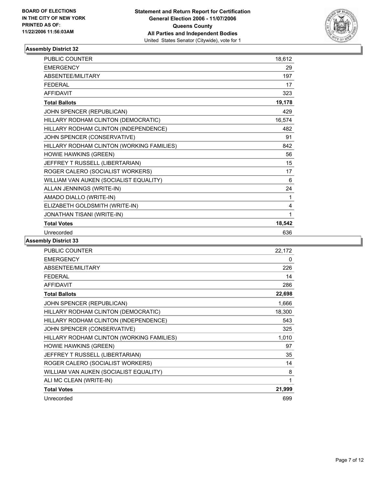

| <b>PUBLIC COUNTER</b>                     | 18,612 |
|-------------------------------------------|--------|
| <b>EMERGENCY</b>                          | 29     |
| ABSENTEE/MILITARY                         | 197    |
| <b>FEDERAL</b>                            | 17     |
| <b>AFFIDAVIT</b>                          | 323    |
| <b>Total Ballots</b>                      | 19,178 |
| JOHN SPENCER (REPUBLICAN)                 | 429    |
| HILLARY RODHAM CLINTON (DEMOCRATIC)       | 16,574 |
| HILLARY RODHAM CLINTON (INDEPENDENCE)     | 482    |
| JOHN SPENCER (CONSERVATIVE)               | 91     |
| HILLARY RODHAM CLINTON (WORKING FAMILIES) | 842    |
| HOWIE HAWKINS (GREEN)                     | 56     |
| JEFFREY T RUSSELL (LIBERTARIAN)           | 15     |
| ROGER CALERO (SOCIALIST WORKERS)          | 17     |
| WILLIAM VAN AUKEN (SOCIALIST EQUALITY)    | 6      |
| ALLAN JENNINGS (WRITE-IN)                 | 24     |
| AMADO DIALLO (WRITE-IN)                   | 1      |
| ELIZABETH GOLDSMITH (WRITE-IN)            | 4      |
| JONATHAN TISANI (WRITE-IN)                | 1      |
| <b>Total Votes</b>                        | 18,542 |
| Unrecorded                                | 636    |

| PUBLIC COUNTER                            | 22,172 |
|-------------------------------------------|--------|
| <b>EMERGENCY</b>                          | 0      |
| ABSENTEE/MILITARY                         | 226    |
| <b>FEDERAL</b>                            | 14     |
| <b>AFFIDAVIT</b>                          | 286    |
| <b>Total Ballots</b>                      | 22,698 |
| JOHN SPENCER (REPUBLICAN)                 | 1,666  |
| HILLARY RODHAM CLINTON (DEMOCRATIC)       | 18,300 |
| HILLARY RODHAM CLINTON (INDEPENDENCE)     | 543    |
| JOHN SPENCER (CONSERVATIVE)               | 325    |
| HILLARY RODHAM CLINTON (WORKING FAMILIES) | 1,010  |
| <b>HOWIE HAWKINS (GREEN)</b>              | 97     |
| JEFFREY T RUSSELL (LIBERTARIAN)           | 35     |
| ROGER CALERO (SOCIALIST WORKERS)          | 14     |
| WILLIAM VAN AUKEN (SOCIALIST EQUALITY)    | 8      |
| ALI MC CLEAN (WRITE-IN)                   | 1      |
| <b>Total Votes</b>                        | 21,999 |
| Unrecorded                                | 699    |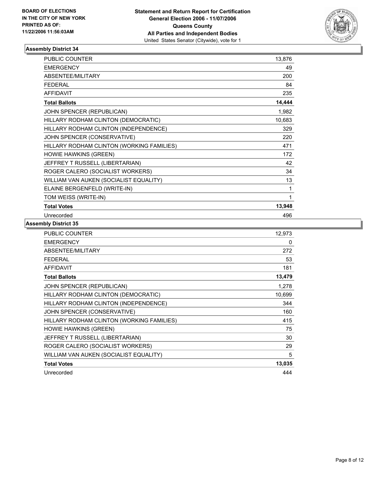

| <b>PUBLIC COUNTER</b>                     | 13,876 |
|-------------------------------------------|--------|
| <b>EMERGENCY</b>                          | 49     |
| ABSENTEE/MILITARY                         | 200    |
| <b>FEDERAL</b>                            | 84     |
| <b>AFFIDAVIT</b>                          | 235    |
| <b>Total Ballots</b>                      | 14,444 |
| JOHN SPENCER (REPUBLICAN)                 | 1,982  |
| HILLARY RODHAM CLINTON (DEMOCRATIC)       | 10,683 |
| HILLARY RODHAM CLINTON (INDEPENDENCE)     | 329    |
| JOHN SPENCER (CONSERVATIVE)               | 220    |
| HILLARY RODHAM CLINTON (WORKING FAMILIES) | 471    |
| <b>HOWIE HAWKINS (GREEN)</b>              | 172    |
| JEFFREY T RUSSELL (LIBERTARIAN)           | 42     |
| ROGER CALERO (SOCIALIST WORKERS)          | 34     |
| WILLIAM VAN AUKEN (SOCIALIST EQUALITY)    | 13     |
| ELAINE BERGENFELD (WRITE-IN)              | 1      |
| TOM WEISS (WRITE-IN)                      |        |
| <b>Total Votes</b>                        | 13,948 |
| Unrecorded                                | 496    |

| <b>PUBLIC COUNTER</b>                     | 12,973 |
|-------------------------------------------|--------|
| <b>EMERGENCY</b>                          | 0      |
| ABSENTEE/MILITARY                         | 272    |
| <b>FEDERAL</b>                            | 53     |
| <b>AFFIDAVIT</b>                          | 181    |
| <b>Total Ballots</b>                      | 13,479 |
| JOHN SPENCER (REPUBLICAN)                 | 1,278  |
| HILLARY RODHAM CLINTON (DEMOCRATIC)       | 10,699 |
| HILLARY RODHAM CLINTON (INDEPENDENCE)     | 344    |
| JOHN SPENCER (CONSERVATIVE)               | 160    |
| HILLARY RODHAM CLINTON (WORKING FAMILIES) | 415    |
| <b>HOWIE HAWKINS (GREEN)</b>              | 75     |
| JEFFREY T RUSSELL (LIBERTARIAN)           | 30     |
| ROGER CALERO (SOCIALIST WORKERS)          | 29     |
| WILLIAM VAN AUKEN (SOCIALIST EQUALITY)    | 5      |
| <b>Total Votes</b>                        | 13,035 |
| Unrecorded                                | 444    |
|                                           |        |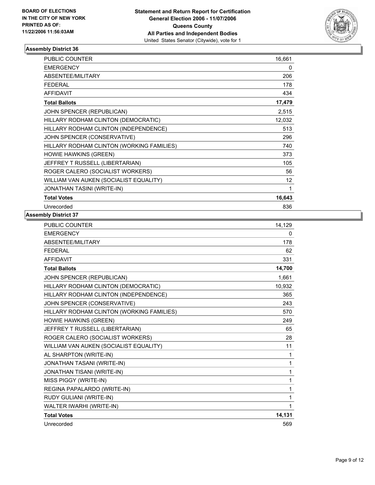

| <b>PUBLIC COUNTER</b>                     | 16,661 |
|-------------------------------------------|--------|
| <b>EMERGENCY</b>                          | 0      |
| ABSENTEE/MILITARY                         | 206    |
| <b>FEDERAL</b>                            | 178    |
| <b>AFFIDAVIT</b>                          | 434    |
| <b>Total Ballots</b>                      | 17,479 |
| JOHN SPENCER (REPUBLICAN)                 | 2,515  |
| HILLARY RODHAM CLINTON (DEMOCRATIC)       | 12,032 |
| HILLARY RODHAM CLINTON (INDEPENDENCE)     | 513    |
| JOHN SPENCER (CONSERVATIVE)               | 296    |
| HILLARY RODHAM CLINTON (WORKING FAMILIES) | 740    |
| <b>HOWIE HAWKINS (GREEN)</b>              | 373    |
| JEFFREY T RUSSELL (LIBERTARIAN)           | 105    |
| ROGER CALERO (SOCIALIST WORKERS)          | 56     |
| WILLIAM VAN AUKEN (SOCIALIST EQUALITY)    | 12     |
| <b>JONATHAN TASINI (WRITE-IN)</b>         |        |
| <b>Total Votes</b>                        | 16,643 |
| Unrecorded                                | 836    |

| <b>PUBLIC COUNTER</b>                     | 14,129 |
|-------------------------------------------|--------|
| <b>EMERGENCY</b>                          | 0      |
| ABSENTEE/MILITARY                         | 178    |
| <b>FEDERAL</b>                            | 62     |
| <b>AFFIDAVIT</b>                          | 331    |
| <b>Total Ballots</b>                      | 14,700 |
| JOHN SPENCER (REPUBLICAN)                 | 1,661  |
| HILLARY RODHAM CLINTON (DEMOCRATIC)       | 10,932 |
| HILLARY RODHAM CLINTON (INDEPENDENCE)     | 365    |
| JOHN SPENCER (CONSERVATIVE)               | 243    |
| HILLARY RODHAM CLINTON (WORKING FAMILIES) | 570    |
| <b>HOWIE HAWKINS (GREEN)</b>              | 249    |
| JEFFREY T RUSSELL (LIBERTARIAN)           | 65     |
| ROGER CALERO (SOCIALIST WORKERS)          | 28     |
| WILLIAM VAN AUKEN (SOCIALIST EQUALITY)    | 11     |
| AL SHARPTON (WRITE-IN)                    | 1      |
| JONATHAN TASANI (WRITE-IN)                | 1      |
| <b>JONATHAN TISANI (WRITE-IN)</b>         | 1      |
| MISS PIGGY (WRITE-IN)                     | 1      |
| REGINA PAPALARDO (WRITE-IN)               | 1      |
| RUDY GULIANI (WRITE-IN)                   | 1      |
| WALTER IWARHI (WRITE-IN)                  | 1      |
| <b>Total Votes</b>                        | 14,131 |
| Unrecorded                                | 569    |
|                                           |        |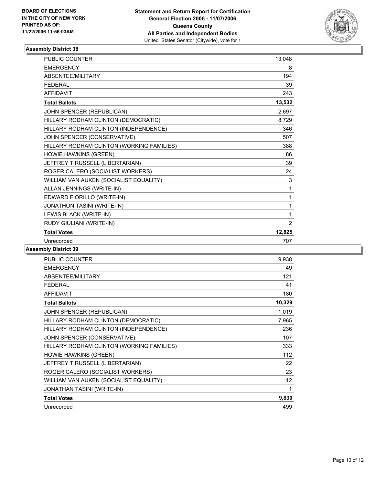

| <b>PUBLIC COUNTER</b>                     | 13,048         |
|-------------------------------------------|----------------|
| <b>EMERGENCY</b>                          | 8              |
| ABSENTEE/MILITARY                         | 194            |
| <b>FFDFRAI</b>                            | 39             |
| <b>AFFIDAVIT</b>                          | 243            |
| <b>Total Ballots</b>                      | 13,532         |
| JOHN SPENCER (REPUBLICAN)                 | 2,697          |
| HILLARY RODHAM CLINTON (DEMOCRATIC)       | 8,729          |
| HILLARY RODHAM CLINTON (INDEPENDENCE)     | 346            |
| JOHN SPENCER (CONSERVATIVE)               | 507            |
| HILLARY RODHAM CLINTON (WORKING FAMILIES) | 388            |
| HOWIE HAWKINS (GREEN)                     | 86             |
| JEFFREY T RUSSELL (LIBERTARIAN)           | 39             |
| ROGER CALERO (SOCIALIST WORKERS)          | 24             |
| WILLIAM VAN AUKEN (SOCIALIST EQUALITY)    | 3              |
| ALLAN JENNINGS (WRITE-IN)                 | 1              |
| EDWARD FIORILLO (WRITE-IN)                | 1              |
| <b>JONATHON TASINI (WRITE-IN)</b>         |                |
| LEWIS BLACK (WRITE-IN)                    | 1              |
| RUDY GIULIANI (WRITE-IN)                  | $\overline{2}$ |
| <b>Total Votes</b>                        | 12,825         |
| Unrecorded                                | 707            |

| <b>PUBLIC COUNTER</b>                     | 9,938  |
|-------------------------------------------|--------|
| <b>EMERGENCY</b>                          | 49     |
| ABSENTEE/MILITARY                         | 121    |
| <b>FEDERAL</b>                            | 41     |
| <b>AFFIDAVIT</b>                          | 180    |
| <b>Total Ballots</b>                      | 10,329 |
| JOHN SPENCER (REPUBLICAN)                 | 1,019  |
| HILLARY RODHAM CLINTON (DEMOCRATIC)       | 7,965  |
| HILLARY RODHAM CLINTON (INDEPENDENCE)     | 236    |
| JOHN SPENCER (CONSERVATIVE)               | 107    |
| HILLARY RODHAM CLINTON (WORKING FAMILIES) | 333    |
| <b>HOWIE HAWKINS (GREEN)</b>              | 112    |
| JEFFREY T RUSSELL (LIBERTARIAN)           | 22     |
| ROGER CALERO (SOCIALIST WORKERS)          | 23     |
| WILLIAM VAN AUKEN (SOCIALIST EQUALITY)    | 12     |
| <b>JONATHAN TASINI (WRITE-IN)</b>         | 1      |
| <b>Total Votes</b>                        | 9,830  |
| Unrecorded                                | 499    |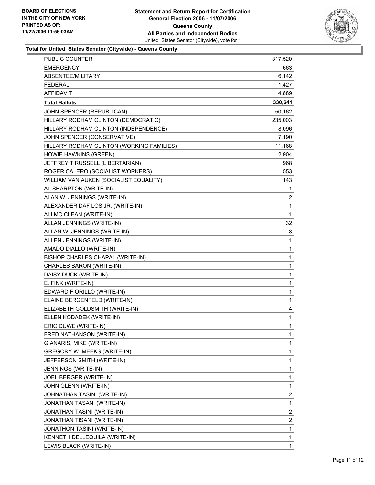

## **Total for United States Senator (Citywide) - Queens County**

| <b>EMERGENCY</b><br>663<br>ABSENTEE/MILITARY<br>6,142<br>1,427<br><b>FEDERAL</b><br><b>AFFIDAVIT</b><br>4.889<br>330,641<br><b>Total Ballots</b><br>JOHN SPENCER (REPUBLICAN)<br>50,162<br>HILLARY RODHAM CLINTON (DEMOCRATIC)<br>235,003<br>HILLARY RODHAM CLINTON (INDEPENDENCE)<br>8,096<br>JOHN SPENCER (CONSERVATIVE)<br>7,190<br>HILLARY RODHAM CLINTON (WORKING FAMILIES)<br>11,168<br>HOWIE HAWKINS (GREEN)<br>2,904<br>JEFFREY T RUSSELL (LIBERTARIAN)<br>968<br>553<br>ROGER CALERO (SOCIALIST WORKERS)<br>143<br>WILLIAM VAN AUKEN (SOCIALIST EQUALITY)<br>AL SHARPTON (WRITE-IN)<br>$\mathbf{1}$<br>$\overline{\mathbf{c}}$<br>ALAN W. JENNINGS (WRITE-IN)<br>1<br>ALEXANDER DAF LOS JR. (WRITE-IN)<br>$\mathbf{1}$<br>ALI MC CLEAN (WRITE-IN)<br>32<br>ALLAN JENNINGS (WRITE-IN)<br>3<br>ALLAN W. JENNINGS (WRITE-IN)<br>$\mathbf 1$<br>ALLEN JENNINGS (WRITE-IN)<br>$\mathbf 1$<br>AMADO DIALLO (WRITE-IN)<br>1<br>BISHOP CHARLES CHAPAL (WRITE-IN)<br>CHARLES BARON (WRITE-IN)<br>1<br>1<br>DAISY DUCK (WRITE-IN)<br>1<br>E. FINK (WRITE-IN)<br>EDWARD FIORILLO (WRITE-IN)<br>1<br>$\mathbf 1$<br>ELAINE BERGENFELD (WRITE-IN)<br>4<br>ELIZABETH GOLDSMITH (WRITE-IN)<br>ELLEN KODADEK (WRITE-IN)<br>1<br>ERIC DUWE (WRITE-IN)<br>1<br>FRED NATHANSON (WRITE-IN)<br>1<br>GIANARIS, MIKE (WRITE-IN)<br>1<br>GREGORY W. MEEKS (WRITE-IN)<br>1<br>1<br>JEFFERSON SMITH (WRITE-IN)<br>1<br>JENNINGS (WRITE-IN)<br>1<br>JOEL BERGER (WRITE-IN)<br>1<br>JOHN GLENN (WRITE-IN)<br>$\overline{\mathbf{c}}$<br>JOHNATHAN TASINI (WRITE-IN)<br>JONATHAN TASANI (WRITE-IN)<br>1<br>$\overline{\mathbf{c}}$<br>JONATHAN TASINI (WRITE-IN)<br>$\overline{\mathbf{c}}$<br>JONATHAN TISANI (WRITE-IN)<br>1<br>JONATHON TASINI (WRITE-IN)<br>1<br>KENNETH DELLEQUILA (WRITE-IN)<br>1<br>LEWIS BLACK (WRITE-IN) | PUBLIC COUNTER | 317,520 |
|---------------------------------------------------------------------------------------------------------------------------------------------------------------------------------------------------------------------------------------------------------------------------------------------------------------------------------------------------------------------------------------------------------------------------------------------------------------------------------------------------------------------------------------------------------------------------------------------------------------------------------------------------------------------------------------------------------------------------------------------------------------------------------------------------------------------------------------------------------------------------------------------------------------------------------------------------------------------------------------------------------------------------------------------------------------------------------------------------------------------------------------------------------------------------------------------------------------------------------------------------------------------------------------------------------------------------------------------------------------------------------------------------------------------------------------------------------------------------------------------------------------------------------------------------------------------------------------------------------------------------------------------------------------------------------------------------------------------------------------------------------------------------------------------------------------|----------------|---------|
|                                                                                                                                                                                                                                                                                                                                                                                                                                                                                                                                                                                                                                                                                                                                                                                                                                                                                                                                                                                                                                                                                                                                                                                                                                                                                                                                                                                                                                                                                                                                                                                                                                                                                                                                                                                                               |                |         |
|                                                                                                                                                                                                                                                                                                                                                                                                                                                                                                                                                                                                                                                                                                                                                                                                                                                                                                                                                                                                                                                                                                                                                                                                                                                                                                                                                                                                                                                                                                                                                                                                                                                                                                                                                                                                               |                |         |
|                                                                                                                                                                                                                                                                                                                                                                                                                                                                                                                                                                                                                                                                                                                                                                                                                                                                                                                                                                                                                                                                                                                                                                                                                                                                                                                                                                                                                                                                                                                                                                                                                                                                                                                                                                                                               |                |         |
|                                                                                                                                                                                                                                                                                                                                                                                                                                                                                                                                                                                                                                                                                                                                                                                                                                                                                                                                                                                                                                                                                                                                                                                                                                                                                                                                                                                                                                                                                                                                                                                                                                                                                                                                                                                                               |                |         |
|                                                                                                                                                                                                                                                                                                                                                                                                                                                                                                                                                                                                                                                                                                                                                                                                                                                                                                                                                                                                                                                                                                                                                                                                                                                                                                                                                                                                                                                                                                                                                                                                                                                                                                                                                                                                               |                |         |
|                                                                                                                                                                                                                                                                                                                                                                                                                                                                                                                                                                                                                                                                                                                                                                                                                                                                                                                                                                                                                                                                                                                                                                                                                                                                                                                                                                                                                                                                                                                                                                                                                                                                                                                                                                                                               |                |         |
|                                                                                                                                                                                                                                                                                                                                                                                                                                                                                                                                                                                                                                                                                                                                                                                                                                                                                                                                                                                                                                                                                                                                                                                                                                                                                                                                                                                                                                                                                                                                                                                                                                                                                                                                                                                                               |                |         |
|                                                                                                                                                                                                                                                                                                                                                                                                                                                                                                                                                                                                                                                                                                                                                                                                                                                                                                                                                                                                                                                                                                                                                                                                                                                                                                                                                                                                                                                                                                                                                                                                                                                                                                                                                                                                               |                |         |
|                                                                                                                                                                                                                                                                                                                                                                                                                                                                                                                                                                                                                                                                                                                                                                                                                                                                                                                                                                                                                                                                                                                                                                                                                                                                                                                                                                                                                                                                                                                                                                                                                                                                                                                                                                                                               |                |         |
|                                                                                                                                                                                                                                                                                                                                                                                                                                                                                                                                                                                                                                                                                                                                                                                                                                                                                                                                                                                                                                                                                                                                                                                                                                                                                                                                                                                                                                                                                                                                                                                                                                                                                                                                                                                                               |                |         |
|                                                                                                                                                                                                                                                                                                                                                                                                                                                                                                                                                                                                                                                                                                                                                                                                                                                                                                                                                                                                                                                                                                                                                                                                                                                                                                                                                                                                                                                                                                                                                                                                                                                                                                                                                                                                               |                |         |
|                                                                                                                                                                                                                                                                                                                                                                                                                                                                                                                                                                                                                                                                                                                                                                                                                                                                                                                                                                                                                                                                                                                                                                                                                                                                                                                                                                                                                                                                                                                                                                                                                                                                                                                                                                                                               |                |         |
|                                                                                                                                                                                                                                                                                                                                                                                                                                                                                                                                                                                                                                                                                                                                                                                                                                                                                                                                                                                                                                                                                                                                                                                                                                                                                                                                                                                                                                                                                                                                                                                                                                                                                                                                                                                                               |                |         |
|                                                                                                                                                                                                                                                                                                                                                                                                                                                                                                                                                                                                                                                                                                                                                                                                                                                                                                                                                                                                                                                                                                                                                                                                                                                                                                                                                                                                                                                                                                                                                                                                                                                                                                                                                                                                               |                |         |
|                                                                                                                                                                                                                                                                                                                                                                                                                                                                                                                                                                                                                                                                                                                                                                                                                                                                                                                                                                                                                                                                                                                                                                                                                                                                                                                                                                                                                                                                                                                                                                                                                                                                                                                                                                                                               |                |         |
|                                                                                                                                                                                                                                                                                                                                                                                                                                                                                                                                                                                                                                                                                                                                                                                                                                                                                                                                                                                                                                                                                                                                                                                                                                                                                                                                                                                                                                                                                                                                                                                                                                                                                                                                                                                                               |                |         |
|                                                                                                                                                                                                                                                                                                                                                                                                                                                                                                                                                                                                                                                                                                                                                                                                                                                                                                                                                                                                                                                                                                                                                                                                                                                                                                                                                                                                                                                                                                                                                                                                                                                                                                                                                                                                               |                |         |
|                                                                                                                                                                                                                                                                                                                                                                                                                                                                                                                                                                                                                                                                                                                                                                                                                                                                                                                                                                                                                                                                                                                                                                                                                                                                                                                                                                                                                                                                                                                                                                                                                                                                                                                                                                                                               |                |         |
|                                                                                                                                                                                                                                                                                                                                                                                                                                                                                                                                                                                                                                                                                                                                                                                                                                                                                                                                                                                                                                                                                                                                                                                                                                                                                                                                                                                                                                                                                                                                                                                                                                                                                                                                                                                                               |                |         |
|                                                                                                                                                                                                                                                                                                                                                                                                                                                                                                                                                                                                                                                                                                                                                                                                                                                                                                                                                                                                                                                                                                                                                                                                                                                                                                                                                                                                                                                                                                                                                                                                                                                                                                                                                                                                               |                |         |
|                                                                                                                                                                                                                                                                                                                                                                                                                                                                                                                                                                                                                                                                                                                                                                                                                                                                                                                                                                                                                                                                                                                                                                                                                                                                                                                                                                                                                                                                                                                                                                                                                                                                                                                                                                                                               |                |         |
|                                                                                                                                                                                                                                                                                                                                                                                                                                                                                                                                                                                                                                                                                                                                                                                                                                                                                                                                                                                                                                                                                                                                                                                                                                                                                                                                                                                                                                                                                                                                                                                                                                                                                                                                                                                                               |                |         |
|                                                                                                                                                                                                                                                                                                                                                                                                                                                                                                                                                                                                                                                                                                                                                                                                                                                                                                                                                                                                                                                                                                                                                                                                                                                                                                                                                                                                                                                                                                                                                                                                                                                                                                                                                                                                               |                |         |
|                                                                                                                                                                                                                                                                                                                                                                                                                                                                                                                                                                                                                                                                                                                                                                                                                                                                                                                                                                                                                                                                                                                                                                                                                                                                                                                                                                                                                                                                                                                                                                                                                                                                                                                                                                                                               |                |         |
|                                                                                                                                                                                                                                                                                                                                                                                                                                                                                                                                                                                                                                                                                                                                                                                                                                                                                                                                                                                                                                                                                                                                                                                                                                                                                                                                                                                                                                                                                                                                                                                                                                                                                                                                                                                                               |                |         |
|                                                                                                                                                                                                                                                                                                                                                                                                                                                                                                                                                                                                                                                                                                                                                                                                                                                                                                                                                                                                                                                                                                                                                                                                                                                                                                                                                                                                                                                                                                                                                                                                                                                                                                                                                                                                               |                |         |
|                                                                                                                                                                                                                                                                                                                                                                                                                                                                                                                                                                                                                                                                                                                                                                                                                                                                                                                                                                                                                                                                                                                                                                                                                                                                                                                                                                                                                                                                                                                                                                                                                                                                                                                                                                                                               |                |         |
|                                                                                                                                                                                                                                                                                                                                                                                                                                                                                                                                                                                                                                                                                                                                                                                                                                                                                                                                                                                                                                                                                                                                                                                                                                                                                                                                                                                                                                                                                                                                                                                                                                                                                                                                                                                                               |                |         |
|                                                                                                                                                                                                                                                                                                                                                                                                                                                                                                                                                                                                                                                                                                                                                                                                                                                                                                                                                                                                                                                                                                                                                                                                                                                                                                                                                                                                                                                                                                                                                                                                                                                                                                                                                                                                               |                |         |
|                                                                                                                                                                                                                                                                                                                                                                                                                                                                                                                                                                                                                                                                                                                                                                                                                                                                                                                                                                                                                                                                                                                                                                                                                                                                                                                                                                                                                                                                                                                                                                                                                                                                                                                                                                                                               |                |         |
|                                                                                                                                                                                                                                                                                                                                                                                                                                                                                                                                                                                                                                                                                                                                                                                                                                                                                                                                                                                                                                                                                                                                                                                                                                                                                                                                                                                                                                                                                                                                                                                                                                                                                                                                                                                                               |                |         |
|                                                                                                                                                                                                                                                                                                                                                                                                                                                                                                                                                                                                                                                                                                                                                                                                                                                                                                                                                                                                                                                                                                                                                                                                                                                                                                                                                                                                                                                                                                                                                                                                                                                                                                                                                                                                               |                |         |
|                                                                                                                                                                                                                                                                                                                                                                                                                                                                                                                                                                                                                                                                                                                                                                                                                                                                                                                                                                                                                                                                                                                                                                                                                                                                                                                                                                                                                                                                                                                                                                                                                                                                                                                                                                                                               |                |         |
|                                                                                                                                                                                                                                                                                                                                                                                                                                                                                                                                                                                                                                                                                                                                                                                                                                                                                                                                                                                                                                                                                                                                                                                                                                                                                                                                                                                                                                                                                                                                                                                                                                                                                                                                                                                                               |                |         |
|                                                                                                                                                                                                                                                                                                                                                                                                                                                                                                                                                                                                                                                                                                                                                                                                                                                                                                                                                                                                                                                                                                                                                                                                                                                                                                                                                                                                                                                                                                                                                                                                                                                                                                                                                                                                               |                |         |
|                                                                                                                                                                                                                                                                                                                                                                                                                                                                                                                                                                                                                                                                                                                                                                                                                                                                                                                                                                                                                                                                                                                                                                                                                                                                                                                                                                                                                                                                                                                                                                                                                                                                                                                                                                                                               |                |         |
|                                                                                                                                                                                                                                                                                                                                                                                                                                                                                                                                                                                                                                                                                                                                                                                                                                                                                                                                                                                                                                                                                                                                                                                                                                                                                                                                                                                                                                                                                                                                                                                                                                                                                                                                                                                                               |                |         |
|                                                                                                                                                                                                                                                                                                                                                                                                                                                                                                                                                                                                                                                                                                                                                                                                                                                                                                                                                                                                                                                                                                                                                                                                                                                                                                                                                                                                                                                                                                                                                                                                                                                                                                                                                                                                               |                |         |
|                                                                                                                                                                                                                                                                                                                                                                                                                                                                                                                                                                                                                                                                                                                                                                                                                                                                                                                                                                                                                                                                                                                                                                                                                                                                                                                                                                                                                                                                                                                                                                                                                                                                                                                                                                                                               |                |         |
|                                                                                                                                                                                                                                                                                                                                                                                                                                                                                                                                                                                                                                                                                                                                                                                                                                                                                                                                                                                                                                                                                                                                                                                                                                                                                                                                                                                                                                                                                                                                                                                                                                                                                                                                                                                                               |                |         |
|                                                                                                                                                                                                                                                                                                                                                                                                                                                                                                                                                                                                                                                                                                                                                                                                                                                                                                                                                                                                                                                                                                                                                                                                                                                                                                                                                                                                                                                                                                                                                                                                                                                                                                                                                                                                               |                |         |
|                                                                                                                                                                                                                                                                                                                                                                                                                                                                                                                                                                                                                                                                                                                                                                                                                                                                                                                                                                                                                                                                                                                                                                                                                                                                                                                                                                                                                                                                                                                                                                                                                                                                                                                                                                                                               |                |         |
|                                                                                                                                                                                                                                                                                                                                                                                                                                                                                                                                                                                                                                                                                                                                                                                                                                                                                                                                                                                                                                                                                                                                                                                                                                                                                                                                                                                                                                                                                                                                                                                                                                                                                                                                                                                                               |                |         |
|                                                                                                                                                                                                                                                                                                                                                                                                                                                                                                                                                                                                                                                                                                                                                                                                                                                                                                                                                                                                                                                                                                                                                                                                                                                                                                                                                                                                                                                                                                                                                                                                                                                                                                                                                                                                               |                |         |
|                                                                                                                                                                                                                                                                                                                                                                                                                                                                                                                                                                                                                                                                                                                                                                                                                                                                                                                                                                                                                                                                                                                                                                                                                                                                                                                                                                                                                                                                                                                                                                                                                                                                                                                                                                                                               |                |         |